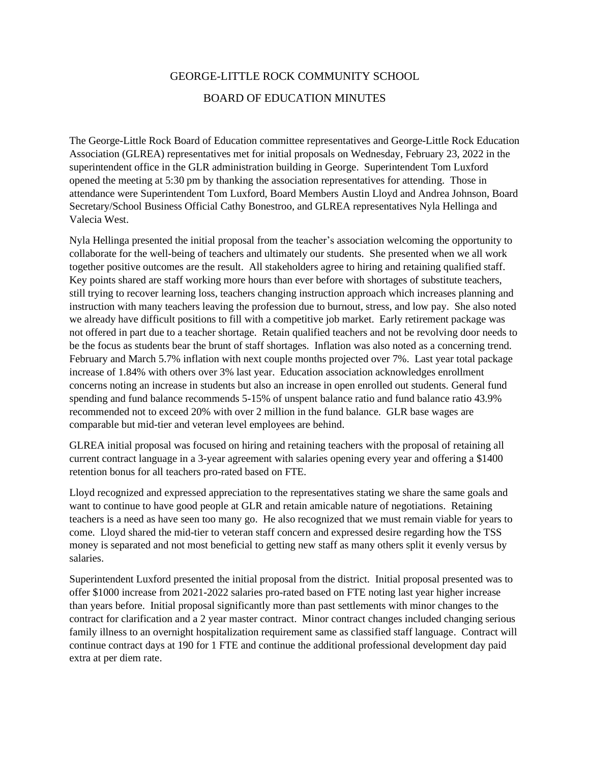## GEORGE-LITTLE ROCK COMMUNITY SCHOOL BOARD OF EDUCATION MINUTES

The George-Little Rock Board of Education committee representatives and George-Little Rock Education Association (GLREA) representatives met for initial proposals on Wednesday, February 23, 2022 in the superintendent office in the GLR administration building in George. Superintendent Tom Luxford opened the meeting at 5:30 pm by thanking the association representatives for attending. Those in attendance were Superintendent Tom Luxford, Board Members Austin Lloyd and Andrea Johnson, Board Secretary/School Business Official Cathy Bonestroo, and GLREA representatives Nyla Hellinga and Valecia West.

Nyla Hellinga presented the initial proposal from the teacher's association welcoming the opportunity to collaborate for the well-being of teachers and ultimately our students. She presented when we all work together positive outcomes are the result. All stakeholders agree to hiring and retaining qualified staff. Key points shared are staff working more hours than ever before with shortages of substitute teachers, still trying to recover learning loss, teachers changing instruction approach which increases planning and instruction with many teachers leaving the profession due to burnout, stress, and low pay. She also noted we already have difficult positions to fill with a competitive job market. Early retirement package was not offered in part due to a teacher shortage. Retain qualified teachers and not be revolving door needs to be the focus as students bear the brunt of staff shortages. Inflation was also noted as a concerning trend. February and March 5.7% inflation with next couple months projected over 7%. Last year total package increase of 1.84% with others over 3% last year. Education association acknowledges enrollment concerns noting an increase in students but also an increase in open enrolled out students. General fund spending and fund balance recommends 5-15% of unspent balance ratio and fund balance ratio 43.9% recommended not to exceed 20% with over 2 million in the fund balance. GLR base wages are comparable but mid-tier and veteran level employees are behind.

GLREA initial proposal was focused on hiring and retaining teachers with the proposal of retaining all current contract language in a 3-year agreement with salaries opening every year and offering a \$1400 retention bonus for all teachers pro-rated based on FTE.

Lloyd recognized and expressed appreciation to the representatives stating we share the same goals and want to continue to have good people at GLR and retain amicable nature of negotiations. Retaining teachers is a need as have seen too many go. He also recognized that we must remain viable for years to come. Lloyd shared the mid-tier to veteran staff concern and expressed desire regarding how the TSS money is separated and not most beneficial to getting new staff as many others split it evenly versus by salaries.

Superintendent Luxford presented the initial proposal from the district. Initial proposal presented was to offer \$1000 increase from 2021-2022 salaries pro-rated based on FTE noting last year higher increase than years before. Initial proposal significantly more than past settlements with minor changes to the contract for clarification and a 2 year master contract. Minor contract changes included changing serious family illness to an overnight hospitalization requirement same as classified staff language. Contract will continue contract days at 190 for 1 FTE and continue the additional professional development day paid extra at per diem rate.